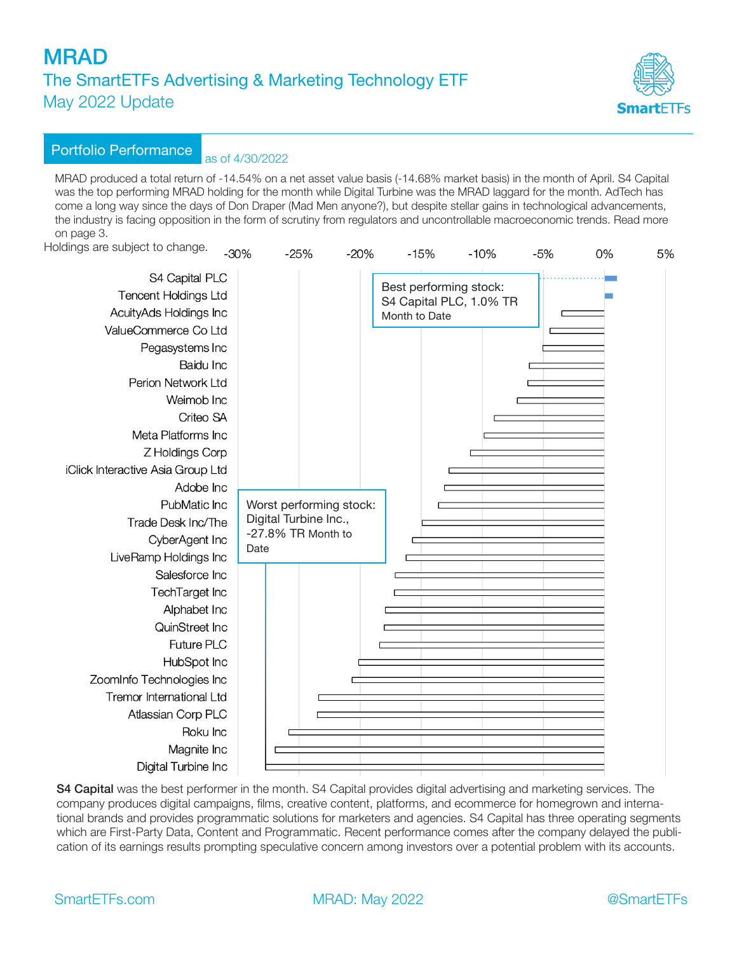

### Portfolio Performance as of 4/30/2022

MRAD produced a total return of -14.54% on a net asset value basis (-14.68% market basis) in the month of April. S4 Capital was the top performing MRAD holding for the month while Digital Turbine was the MRAD laggard for the month. AdTech has come a long way since the days of Don Draper (Mad Men anyone?), but despite stellar gains in technological advancements, the industry is facing opposition in the form of scrutiny from regulators and uncontrollable macroeconomic trends. Read more on page 3.

Holdings are subject to change.  $300<sub>6</sub>$ 

| pidings are subject to change.                                                                  | $-30%$ | $-25%$                  | $-20%$ | $-15%$                                                             | $-10%$ | $-5%$ | 0% | 5% |
|-------------------------------------------------------------------------------------------------|--------|-------------------------|--------|--------------------------------------------------------------------|--------|-------|----|----|
| S4 Capital PLC<br><b>Tencent Holdings Ltd</b><br>AcuityAds Holdings Inc<br>ValueCommerce Co Ltd |        |                         |        | Best performing stock:<br>S4 Capital PLC, 1.0% TR<br>Month to Date |        |       |    |    |
| Pegasystems Inc                                                                                 |        |                         |        |                                                                    |        |       |    |    |
| Baidu Inc                                                                                       |        |                         |        |                                                                    |        |       |    |    |
| Perion Network Ltd                                                                              |        |                         |        |                                                                    |        |       |    |    |
| Weimob Inc                                                                                      |        |                         |        |                                                                    |        |       |    |    |
| Criteo SA                                                                                       |        |                         |        |                                                                    |        |       |    |    |
| Meta Platforms Inc                                                                              |        |                         |        |                                                                    |        |       |    |    |
| Z Holdings Corp                                                                                 |        |                         |        |                                                                    |        |       |    |    |
| iClick Interactive Asia Group Ltd                                                               |        |                         |        |                                                                    |        |       |    |    |
| Adobe Inc                                                                                       |        |                         |        |                                                                    |        |       |    |    |
| PubMatic Inc                                                                                    |        | Worst performing stock: |        |                                                                    |        |       |    |    |
| Trade Desk Inc/The                                                                              |        | Digital Turbine Inc.,   |        |                                                                    |        |       |    |    |
| CyberAgent Inc                                                                                  | Date   | -27.8% TR Month to      |        |                                                                    |        |       |    |    |
| LiveRamp Holdings Inc                                                                           |        |                         |        |                                                                    |        |       |    |    |
| Salesforce Inc                                                                                  |        |                         |        |                                                                    |        |       |    |    |
| TechTarget Inc                                                                                  |        |                         |        |                                                                    |        |       |    |    |
| Alphabet Inc                                                                                    |        |                         |        |                                                                    |        |       |    |    |
| QuinStreet Inc                                                                                  |        |                         |        |                                                                    |        |       |    |    |
| Future PLC                                                                                      |        |                         |        |                                                                    |        |       |    |    |
| HubSpot Inc                                                                                     |        |                         |        |                                                                    |        |       |    |    |
| ZoomInfo Technologies Inc                                                                       |        |                         |        |                                                                    |        |       |    |    |
| Tremor International Ltd                                                                        |        |                         |        |                                                                    |        |       |    |    |
| Atlassian Corp PLC                                                                              |        |                         |        |                                                                    |        |       |    |    |
| Roku Inc                                                                                        |        |                         |        |                                                                    |        |       |    |    |
| Magnite Inc                                                                                     |        |                         |        |                                                                    |        |       |    |    |
| Digital Turbine Inc                                                                             |        |                         |        |                                                                    |        |       |    |    |

S4 Capital was the best performer in the month. S4 Capital provides digital advertising and marketing services. The company produces digital campaigns, films, creative content, platforms, and ecommerce for homegrown and international brands and provides programmatic solutions for marketers and agencies. S4 Capital has three operating segments which are First-Party Data, Content and Programmatic. Recent performance comes after the company delayed the publication of its earnings results prompting speculative concern among investors over a potential problem with its accounts.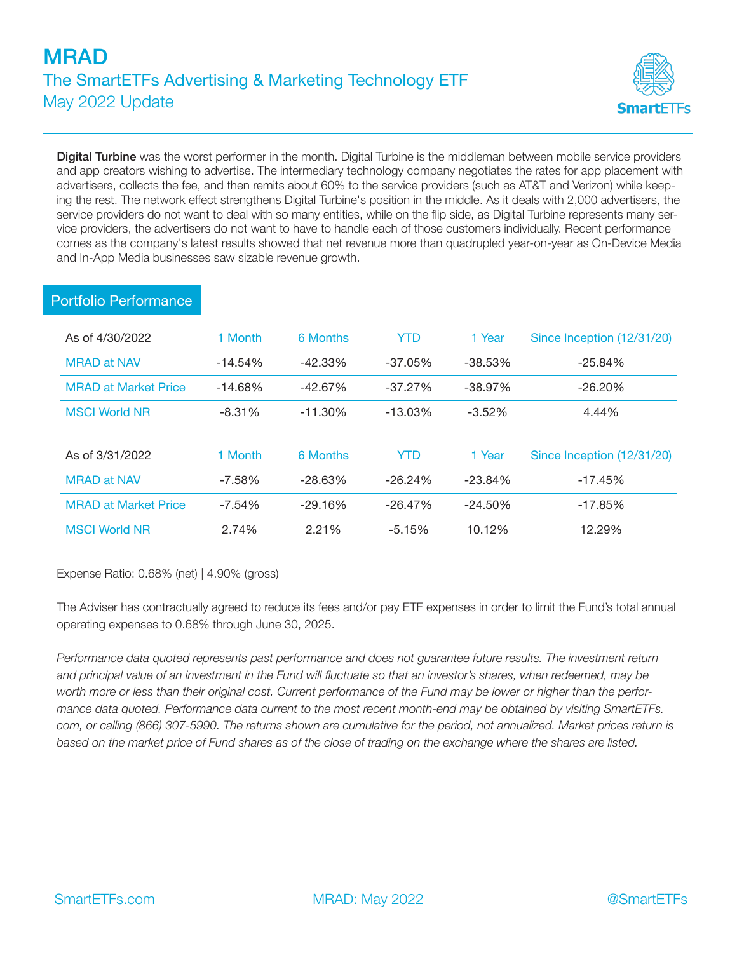

Digital Turbine was the worst performer in the month. Digital Turbine is the middleman between mobile service providers and app creators wishing to advertise. The intermediary technology company negotiates the rates for app placement with advertisers, collects the fee, and then remits about 60% to the service providers (such as AT&T and Verizon) while keeping the rest. The network effect strengthens Digital Turbine's position in the middle. As it deals with 2,000 advertisers, the service providers do not want to deal with so many entities, while on the flip side, as Digital Turbine represents many service providers, the advertisers do not want to have to handle each of those customers individually. Recent performance comes as the company's latest results showed that net revenue more than quadrupled year-on-year as On-Device Media and In-App Media businesses saw sizable revenue growth.

| As of 4/30/2022             | 1 Month   | 6 Months   | YTD        | 1 Year     | Since Inception (12/31/20) |
|-----------------------------|-----------|------------|------------|------------|----------------------------|
| <b>MRAD at NAV</b>          | $-14.54%$ | $-42.33\%$ | $-37.05\%$ | $-38.53\%$ | $-25.84%$                  |
| <b>MRAD at Market Price</b> | $-14.68%$ | $-42.67\%$ | $-37.27\%$ | $-38.97\%$ | $-26.20%$                  |
| <b>MSCI World NR</b>        | $-8.31%$  | $-11.30\%$ | $-13.03\%$ | $-3.52%$   | 4.44%                      |
|                             |           |            |            |            |                            |
| As of 3/31/2022             | 1 Month   | 6 Months   | YTD        | 1 Year     | Since Inception (12/31/20) |
| <b>MRAD at NAV</b>          | $-7.58%$  | $-28.63\%$ | $-26.24%$  | $-23.84%$  | $-17.45%$                  |
| <b>MRAD</b> at Market Price | $-7.54%$  | $-29.16\%$ | $-26.47\%$ | $-24.50\%$ | $-17.85%$                  |
| <b>MSCI World NR</b>        | 2.74%     | 2.21%      | $-5.15%$   | 10.12%     | 12.29%                     |

### Portfolio Performance

Expense Ratio: 0.68% (net) | 4.90% (gross)

The Adviser has contractually agreed to reduce its fees and/or pay ETF expenses in order to limit the Fund's total annual operating expenses to 0.68% through June 30, 2025.

*Performance data quoted represents past performance and does not guarantee future results. The investment return and principal value of an investment in the Fund will fluctuate so that an investor's shares, when redeemed, may be worth more or less than their original cost. Current performance of the Fund may be lower or higher than the performance data quoted. Performance data current to the most recent month-end may be obtained by visiting SmartETFs. com, or calling (866) 307-5990. The returns shown are cumulative for the period, not annualized. Market prices return is based on the market price of Fund shares as of the close of trading on the exchange where the shares are listed.*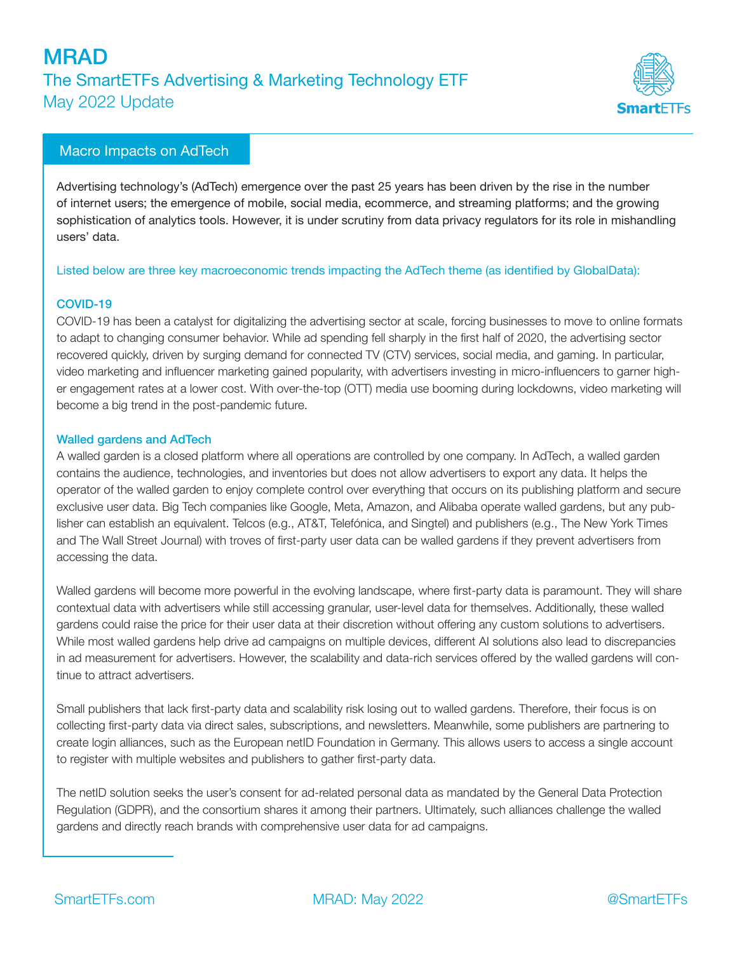

### Macro Impacts on AdTech

Advertising technology's (AdTech) emergence over the past 25 years has been driven by the rise in the number of internet users; the emergence of mobile, social media, ecommerce, and streaming platforms; and the growing sophistication of analytics tools. However, it is under scrutiny from data privacy regulators for its role in mishandling users' data.

#### Listed below are three key macroeconomic trends impacting the AdTech theme (as identified by GlobalData):

#### COVID-19

COVID-19 has been a catalyst for digitalizing the advertising sector at scale, forcing businesses to move to online formats to adapt to changing consumer behavior. While ad spending fell sharply in the first half of 2020, the advertising sector recovered quickly, driven by surging demand for connected TV (CTV) services, social media, and gaming. In particular, video marketing and influencer marketing gained popularity, with advertisers investing in micro-influencers to garner higher engagement rates at a lower cost. With over-the-top (OTT) media use booming during lockdowns, video marketing will become a big trend in the post-pandemic future.

#### Walled gardens and AdTech

A walled garden is a closed platform where all operations are controlled by one company. In AdTech, a walled garden contains the audience, technologies, and inventories but does not allow advertisers to export any data. It helps the operator of the walled garden to enjoy complete control over everything that occurs on its publishing platform and secure exclusive user data. Big Tech companies like Google, Meta, Amazon, and Alibaba operate walled gardens, but any publisher can establish an equivalent. Telcos (e.g., AT&T, Telefónica, and Singtel) and publishers (e.g., The New York Times and The Wall Street Journal) with troves of first-party user data can be walled gardens if they prevent advertisers from accessing the data.

Walled gardens will become more powerful in the evolving landscape, where first-party data is paramount. They will share contextual data with advertisers while still accessing granular, user-level data for themselves. Additionally, these walled gardens could raise the price for their user data at their discretion without offering any custom solutions to advertisers. While most walled gardens help drive ad campaigns on multiple devices, different AI solutions also lead to discrepancies in ad measurement for advertisers. However, the scalability and data-rich services offered by the walled gardens will continue to attract advertisers.

Small publishers that lack first-party data and scalability risk losing out to walled gardens. Therefore, their focus is on collecting first-party data via direct sales, subscriptions, and newsletters. Meanwhile, some publishers are partnering to create login alliances, such as the European netID Foundation in Germany. This allows users to access a single account to register with multiple websites and publishers to gather first-party data.

The netID solution seeks the user's consent for ad-related personal data as mandated by the General Data Protection Regulation (GDPR), and the consortium shares it among their partners. Ultimately, such alliances challenge the walled gardens and directly reach brands with comprehensive user data for ad campaigns.